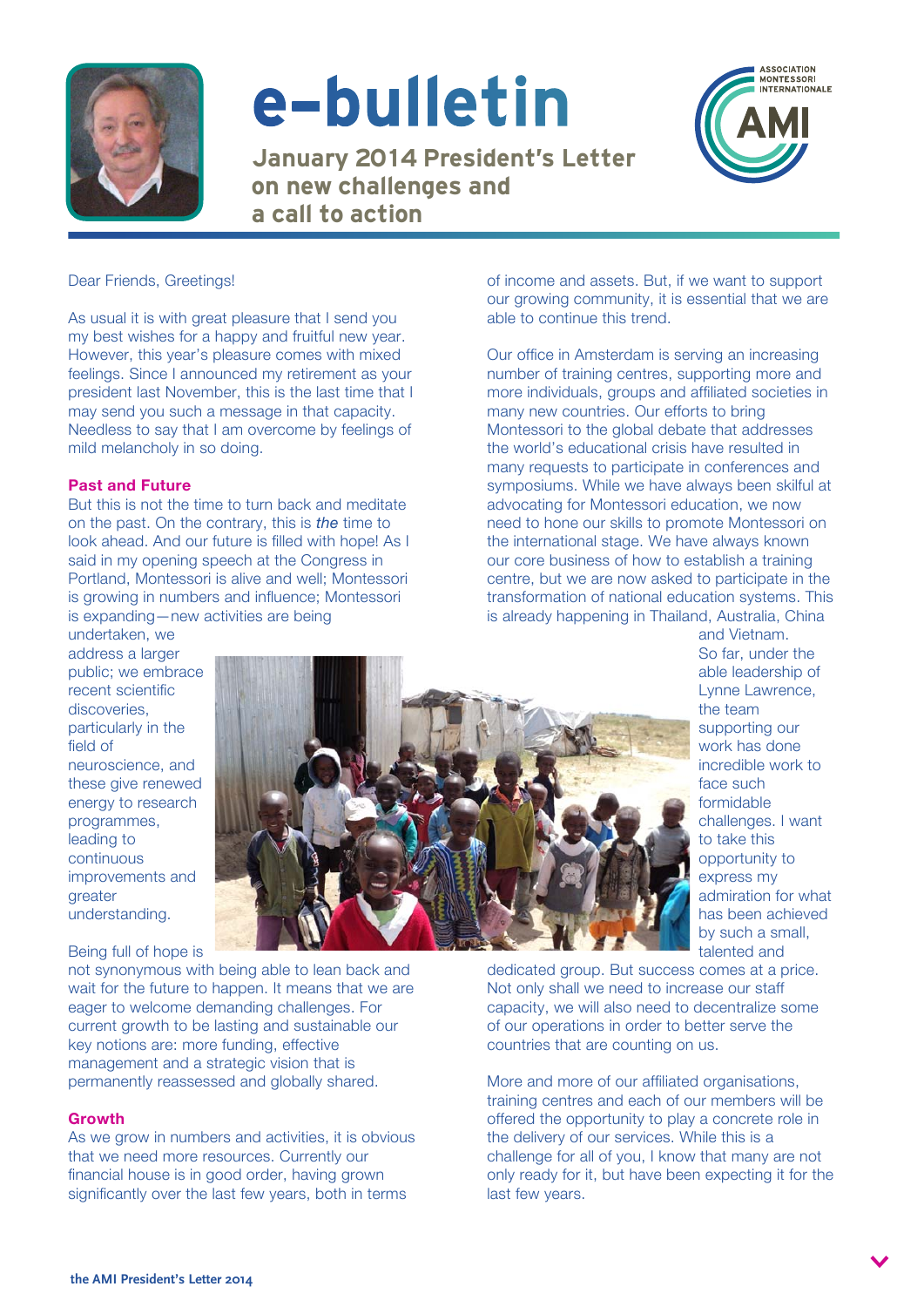

# e-bulletin

January 2014 President's Letter on new challenges and a call to action



# Dear Friends, Greetings!

As usual it is with great pleasure that I send you my best wishes for a happy and fruitful new year. However, this year's pleasure comes with mixed feelings. Since I announced my retirement as your president last November, this is the last time that I may send you such a message in that capacity. Needless to say that I am overcome by feelings of mild melancholy in so doing.

# **Past and Future**

But this is not the time to turn back and meditate on the past. On the contrary, this is *the* time to look ahead. And our future is filled with hope! As I said in my opening speech at the Congress in Portland, Montessori is alive and well; Montessori is growing in numbers and influence; Montessori is expanding—new activities are being

undertaken, we address a larger public; we embrace recent scientific discoveries, particularly in the field of neuroscience, and these give renewed energy to research programmes, leading to continuous improvements and greater understanding.

Being full of hope is



not synonymous with being able to lean back and wait for the future to happen. It means that we are eager to welcome demanding challenges. For current growth to be lasting and sustainable our key notions are: more funding, effective management and a strategic vision that is permanently reassessed and globally shared.

### **Growth**

As we grow in numbers and activities, it is obvious that we need more resources. Currently our financial house is in good order, having grown significantly over the last few years, both in terms

of income and assets. But, if we want to support our growing community, it is essential that we are able to continue this trend.

Our office in Amsterdam is serving an increasing number of training centres, supporting more and more individuals, groups and affiliated societies in many new countries. Our efforts to bring Montessori to the global debate that addresses the world's educational crisis have resulted in many requests to participate in conferences and symposiums. While we have always been skilful at advocating for Montessori education, we now need to hone our skills to promote Montessori on the international stage. We have always known our core business of how to establish a training centre, but we are now asked to participate in the transformation of national education systems. This is already happening in Thailand, Australia, China

> and Vietnam. So far, under the able leadership of Lynne Lawrence, the team supporting our work has done incredible work to face such formidable challenges. I want to take this opportunity to express my admiration for what has been achieved by such a small, talented and

dedicated group. But success comes at a price. Not only shall we need to increase our staff capacity, we will also need to decentralize some of our operations in order to better serve the countries that are counting on us.

More and more of our affiliated organisations, training centres and each of our members will be offered the opportunity to play a concrete role in the delivery of our services. While this is a challenge for all of you, I know that many are not only ready for it, but have been expecting it for the last few years.